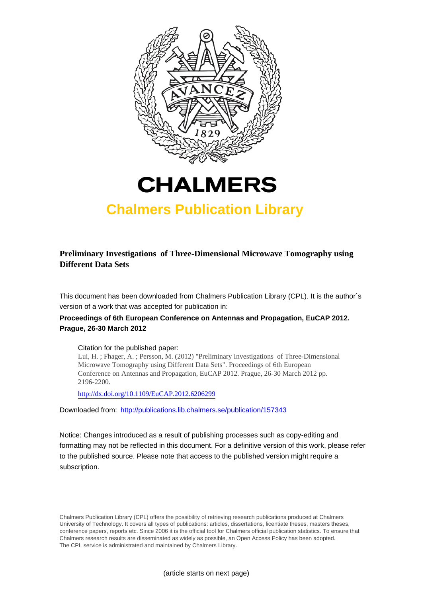



# **Chalmers Publication Library**

**Preliminary Investigations of Three-Dimensional Microwave Tomography using Different Data Sets**

This document has been downloaded from Chalmers Publication Library (CPL). It is the author´s version of a work that was accepted for publication in:

**Proceedings of 6th European Conference on Antennas and Propagation, EuCAP 2012. Prague, 26-30 March 2012**

Citation for the published paper:

Lui, H. ; Fhager, A. ; Persson, M. (2012) "Preliminary Investigations of Three-Dimensional Microwave Tomography using Different Data Sets". Proceedings of 6th European Conference on Antennas and Propagation, EuCAP 2012. Prague, 26-30 March 2012 pp. 2196-2200.

<http://dx.doi.org/10.1109/EuCAP.2012.6206299>

Downloaded from: <http://publications.lib.chalmers.se/publication/157343>

Notice: Changes introduced as a result of publishing processes such as copy-editing and formatting may not be reflected in this document. For a definitive version of this work, please refer to the published source. Please note that access to the published version might require a subscription.

Chalmers Publication Library (CPL) offers the possibility of retrieving research publications produced at Chalmers University of Technology. It covers all types of publications: articles, dissertations, licentiate theses, masters theses, conference papers, reports etc. Since 2006 it is the official tool for Chalmers official publication statistics. To ensure that Chalmers research results are disseminated as widely as possible, an Open Access Policy has been adopted. The CPL service is administrated and maintained by Chalmers Library.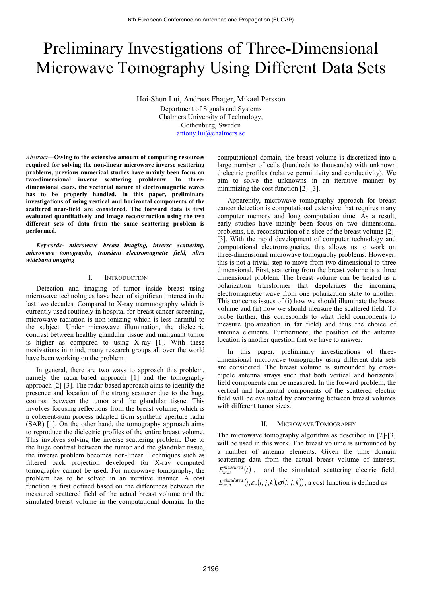# Preliminary Investigations of Three-Dimensional Microwave Tomography Using Different Data Sets

Hoi-Shun Lui, Andreas Fhager, Mikael Persson Department of Signals and Systems Chalmers University of Technology, Gothenburg, Sweden antony.lui@chalmers.se

*Abstract***—Owing to the extensive amount of computing resources required for solving the non-linear microwave inverse scattering problems, previous numerical studies have mainly been focus on two-dimensional inverse scattering problemw. In threedimensional cases, the vectorial nature of electromagnetic waves has to be properly handled. In this paper, preliminary investigations of using vertical and horizontal components of the scattered near-field are considered. The forward data is first evaluated quantitatively and image reconstruction using the two different sets of data from the same scattering problem is performed.** 

*Keywords- microwave breast imaging, inverse scattering, microwave tomography, transient electromagnetic field, ultra wideband imaging* 

## I. INTRODUCTION

Detection and imaging of tumor inside breast using microwave technologies have been of significant interest in the last two decades. Compared to X-ray mammography which is currently used routinely in hospital for breast cancer screening, microwave radiation is non-ionizing which is less harmful to the subject. Under microwave illumination, the dielectric contrast between healthy glandular tissue and malignant tumor is higher as compared to using X-ray [1]. With these motivations in mind, many research groups all over the world have been working on the problem.

In general, there are two ways to approach this problem, namely the radar-based approach [1] and the tomography approach [2]-[3]. The radar-based approach aims to identify the presence and location of the strong scatterer due to the huge contrast between the tumor and the glandular tissue. This involves focusing reflections from the breast volume, which is a coherent-sum process adapted from synthetic aperture radar (SAR) [1]. On the other hand, the tomography approach aims to reproduce the dielectric profiles of the entire breast volume. This involves solving the inverse scattering problem. Due to the huge contrast between the tumor and the glandular tissue, the inverse problem becomes non-linear. Techniques such as filtered back projection developed for X-ray computed tomography cannot be used. For microwave tomography, the problem has to be solved in an iterative manner. A cost function is first defined based on the differences between the measured scattered field of the actual breast volume and the simulated breast volume in the computational domain. In the

computational domain, the breast volume is discretized into a large number of cells (hundreds to thousands) with unknown dielectric profiles (relative permittivity and conductivity). We aim to solve the unknowns in an iterative manner by minimizing the cost function [2]-[3].

Apparently, microwave tomography approach for breast cancer detection is computational extensive that requires many computer memory and long computation time. As a result, early studies have mainly been focus on two dimensional problems, i.e. reconstruction of a slice of the breast volume [2]- [3]. With the rapid development of computer technology and computational electromagnetics, this allows us to work on three-dimensional microwave tomography problems. However, this is not a trivial step to move from two dimensional to three dimensional. First, scattering from the breast volume is a three dimensional problem. The breast volume can be treated as a polarization transformer that depolarizes the incoming electromagnetic wave from one polarization state to another. This concerns issues of (i) how we should illuminate the breast volume and (ii) how we should measure the scattered field. To probe further, this corresponds to what field components to measure (polarization in far field) and thus the choice of antenna elements. Furthermore, the position of the antenna location is another question that we have to answer.

In this paper, preliminary investigations of threedimensional microwave tomography using different data sets are considered. The breast volume is surrounded by crossdipole antenna arrays such that both vertical and horizontal field components can be measured. In the forward problem, the vertical and horizontal components of the scattered electric field will be evaluated by comparing between breast volumes with different tumor sizes.

# II. MICROWAVE TOMOGRAPHY

The microwave tomography algorithm as described in [2]-[3] will be used in this work. The breast volume is surrounded by a number of antenna elements. Given the time domain scattering data from the actual breast volume of interest,  $E_{m,n}^{measured}(t)$ , and the simulated scattering electric field,  $E_{m,n}^{simulated}(t, \varepsilon_r(i, j, k), \sigma(i, j, k))$ , a cost function is defined as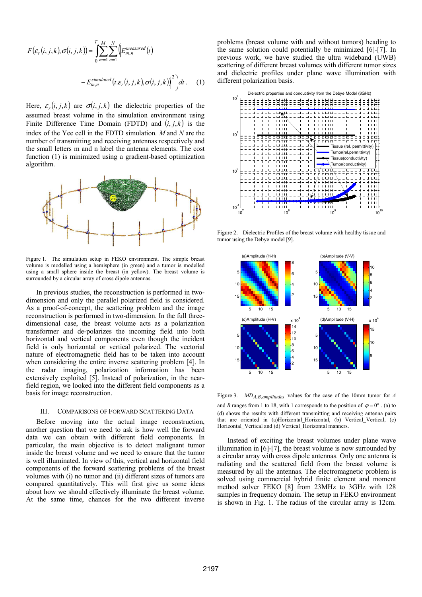$$
F(\varepsilon_r(i,j,k),\sigma(i,j,k)) = \sum_{0}^{T} \sum_{m=1}^{M} \sum_{n=1}^{N} \left( E_{m,n}^{measured}(t) - E_{m,n}^{simulated}(t, \varepsilon_r(i,j,k),\sigma(i,j,k)) \right)^2 \, dt \,. \tag{1}
$$

Here,  $\varepsilon_n$   $(i, j, k)$  are  $\sigma$   $(i, j, k)$  the dielectric properties of the assumed breast volume in the simulation environment using Finite Difference Time Domain (FDTD) and  $(i, j, k)$  is the index of the Yee cell in the FDTD simulation. *M* and *N* are the number of transmitting and receiving antennas respectively and the small letters m and n label the antenna elements. The cost function (1) is minimized using a gradient-based optimization algorithm.



Figure 1. The simulation setup in FEKO environment. The simple breast volume is modelled using a hemisphere (in green) and a tumor is modelled using a small sphere inside the breast (in yellow). The breast volume is surrounded by a circular array of cross dipole antennas.

In previous studies, the reconstruction is performed in twodimension and only the parallel polarized field is considered. As a proof-of-concept, the scattering problem and the image reconstruction is performed in two-dimension. In the full threedimensional case, the breast volume acts as a polarization transformer and de-polarizes the incoming field into both horizontal and vertical components even though the incident field is only horizontal or vertical polarized. The vectorial nature of electromagnetic field has to be taken into account when considering the entire inverse scattering problem [4]. In the radar imaging, polarization information has been extensively exploited [5]. Instead of polarization, in the nearfield region, we looked into the different field components as a basis for image reconstruction.

#### III. COMPARISONS OF FORWARD SCATTERING DATA

Before moving into the actual image reconstruction, another question that we need to ask is how well the forward data we can obtain with different field components. In particular, the main objective is to detect malignant tumor inside the breast volume and we need to ensure that the tumor is well illuminated. In view of this, vertical and horizontal field components of the forward scattering problems of the breast volumes with (i) no tumor and (ii) different sizes of tumors are compared quantitatively. This will first give us some ideas about how we should effectively illuminate the breast volume. At the same time, chances for the two different inverse

problems (breast volume with and without tumors) heading to the same solution could potentially be minimized [6]-[7]. In previous work, we have studied the ultra wideband (UWB) scattering of different breast volumes with different tumor sizes and dielectric profiles under plane wave illumination with different polarization basis.



Figure 2. Dielectric Profiles of the breast volume with healthy tissue and tumor using the Debye model [9].



Figure 3.  $MD_{A,B,amplitudes}$  values for the case of the 10mm tumor for *A* and *B* ranges from 1 to 18, with 1 corresponds to the position of  $\varphi = 0^{\circ}$ . (a) to (d) shows the results with different transmitting and receiving antenna pairs that are oriented in (a)Horizontal Horizontal, (b) Vertical Vertical, (c) Horizontal\_Vertical and (d) Vertical\_Horizontal manners.

Instead of exciting the breast volumes under plane wave illumination in [6]-[7], the breast volume is now surrounded by a circular array with cross dipole antennas. Only one antenna is radiating and the scattered field from the breast volume is measured by all the antennas. The electromagnetic problem is solved using commercial hybrid finite element and moment method solver FEKO [8] from 23MHz to 3GHz with 128 samples in frequency domain. The setup in FEKO environment is shown in Fig. 1. The radius of the circular array is 12cm.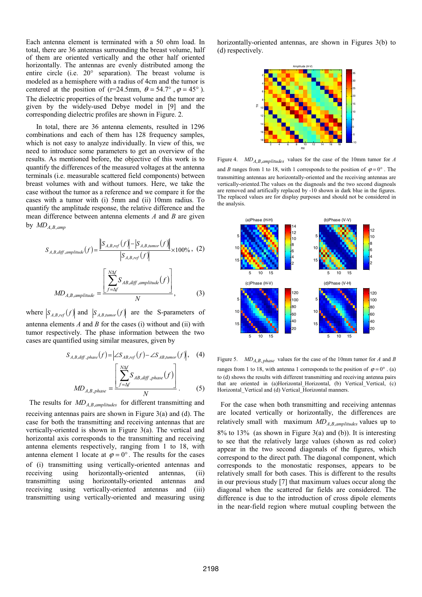Each antenna element is terminated with a 50 ohm load. In total, there are 36 antennas surrounding the breast volume, half of them are oriented vertically and the other half oriented horizontally. The antennas are evenly distributed among the entire circle (i.e.  $20^{\circ}$  separation). The breast volume is modeled as a hemisphere with a radius of 4cm and the tumor is centered at the position of (r=24.5mm,  $\theta = 54.7^{\circ}$ ,  $\varphi = 45^{\circ}$ ). The dielectric properties of the breast volume and the tumor are given by the widely-used Debye model in [9] and the corresponding dielectric profiles are shown in Figure. 2.

In total, there are 36 antenna elements, resulted in 1296 combinations and each of them has 128 frequency samples, which is not easy to analyze individually. In view of this, we need to introduce some parameters to get an overview of the results. As mentioned before, the objective of this work is to quantify the differences of the measured voltages at the antenna terminals (i.e. measurable scattered field components) between breast volumes with and without tumors. Here, we take the case without the tumor as a reference and we compare it for the cases with a tumor with (i) 5mm and (ii) 10mm radius. To quantify the amplitude response, the relative difference and the mean difference between antenna elements *A* and *B* are given by  $MD_{A,B,amp}$ 

$$
S_{A,B,diff,amplitude}(f) = \frac{\left\| S_{A,B,ref}(f) \right\| - \left| S_{A,B,tumor}(f) \right\|}{\left| S_{A,B,ref}(f) \right|} \times 100\%, (2)
$$
  

$$
MD_{A,B,amplitude} = \frac{\left[ \sum_{f=\Delta f}^{N\Delta f} S_{AB,diff,amplitude}(f) \right]}{N},
$$
 (3)

where  $|S_{A,B,ref}(f)|$  and  $|S_{A,B,tumor}(f)|$  are the S-parameters of antenna elements *A* and *B* for the cases (i) without and (ii) with tumor respectively. The phase information between the two cases are quantified using similar measures, given by

$$
S_{A,B,diff,phase}(f) = \left| \angle S_{AB,ref}(f) - \angle S_{AB,number}(f) \right|, \quad (4)
$$

$$
MD_{A,B,phase} = \frac{\left[ \sum_{f=\Delta f}^{N\Delta f} S_{AB,diff,phase}(f) \right]}{N}.
$$
 (5)

The results for  $MD_{A,B,amplitude}$  for different transmitting and

receiving antennas pairs are shown in Figure 3(a) and (d). The case for both the transmitting and receiving antennas that are vertically-oriented is shown in Figure 3(a). The vertical and horizontal axis corresponds to the transmitting and receiving antenna elements respectively, ranging from 1 to 18, with antenna element 1 locate at  $\varphi = 0^{\circ}$ . The results for the cases of (i) transmitting using vertically-oriented antennas and receiving using horizontally-oriented antennas, (ii) transmitting using horizontally-oriented antennas and receiving using vertically-oriented antennas and (iii) transmitting using vertically-oriented and measuring using

horizontally-oriented antennas, are shown in Figures 3(b) to (d) respectively.



Figure 4.  $MD_{A,B,amplitudes}$  values for the case of the 10mm tumor for *A* and *B* ranges from 1 to 18, with 1 corresponds to the position of  $\varphi = 0^{\circ}$ . The transmitting antennas are horizontally-oriented and the receiving antennas are vertically-oriented.The values on the diagnoals and the two second diagnoals are removed and artifically replaced by -10 shown in dark blue in the figures. The replaced values are for display purposes and should not be considered in the analysis.



Figure 5.  $MD_{A,B,phase}$  values for the case of the 10mm tumor for *A* and *B* ranges from 1 to 18, with antenna 1 corresponds to the position of  $\varphi = 0^{\circ}$ . (a) to (d) shows the results with different transmitting and receiving antenna pairs that are oriented in (a)Horizontal Horizontal, (b) Vertical Vertical, (c) Horizontal Vertical and (d) Vertical Horizontal manners.

For the case when both transmitting and receiving antennas are located vertically or horizontally, the differences are relatively small with maximum  $MD_{A,B, amplitude}$  values up to 8% to 13% (as shown in Figure 3(a) and (b)). It is interesting to see that the relatively large values (shown as red color) appear in the two second diagonals of the figures, which correspond to the direct path. The diagonal component, which corresponds to the monostatic responses, appears to be relatively small for both cases. This is different to the results in our previous study [7] that maximum values occur along the diagonal when the scattered far fields are considered. The difference is due to the introduction of cross dipole elements in the near-field region where mutual coupling between the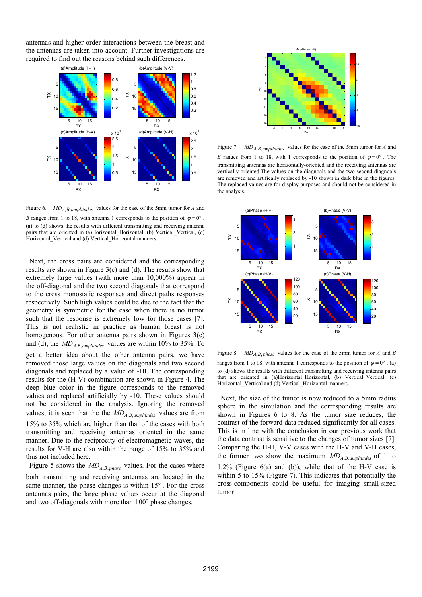antennas and higher order interactions between the breast and the antennas are taken into account. Further investigations are required to find out the reasons behind such differences.



Figure 6.  $MD_{A,B,amplitudes}$  values for the case of the 5mm tumor for *A* and *B* ranges from 1 to 18, with antenna 1 corresponds to the position of  $\varphi = 0^\circ$ . (a) to (d) shows the results with different transmitting and receiving antenna pairs that are oriented in (a)Horizontal\_Horizontal, (b) Vertical\_Vertical, (c) Horizontal Vertical and (d) Vertical Horizontal manners.

Next, the cross pairs are considered and the corresponding results are shown in Figure 3(c) and (d). The results show that extremely large values (with more than 10,000%) appear in the off-diagonal and the two second diagonals that correspond to the cross monostatic responses and direct paths responses respectively. Such high values could be due to the fact that the geometry is symmetric for the case when there is no tumor such that the response is extremely low for those cases [7]. This is not realistic in practice as human breast is not homogenous. For other antenna pairs shown in Figures 3(c) and (d), the  $MD_{A,B,amplitudes}$  values are within 10% to 35%. To get a better idea about the other antenna pairs, we have removed those large values on the diagonals and two second diagonals and replaced by a value of -10. The corresponding results for the (H-V) combination are shown in Figure 4. The deep blue color in the figure corresponds to the removed values and replaced artificially by -10. These values should not be considered in the analysis. Ignoring the removed values, it is seen that the the  $MD_{A,B,amplitudes}$  values are from 15% to 35% which are higher than that of the cases with both transmitting and receiving antennas oriented in the same manner. Due to the reciprocity of electromagnetic waves, the results for V-H are also within the range of 15% to 35% and thus not included here. Figure 5 shows the  $MD_{A,B,phase}$  values. For the cases where

both transmitting and receiving antennas are located in the same manner, the phase changes is within  $15^\circ$ . For the cross antennas pairs, the large phase values occur at the diagonal and two off-diagonals with more than  $100^\circ$  phase changes.



Figure 7.  $MD_{A,B,amplitudes}$  values for the case of the 5mm tumor for *A* and *B* ranges from 1 to 18, with 1 corresponds to the position of  $\varphi = 0^{\circ}$ . The transmitting antennas are horizontally-oriented and the receiving antennas are vertically-oriented.The values on the diagnoals and the two second diagnoals are removed and artifically replaced by -10 shown in dark blue in the figures. The replaced values are for display purposes and should not be considered in the analysis.



Figure 8. *MD*<sub>A,B, phase</sub> values for the case of the 5mm tumor for *A* and *B* ranges from 1 to 18, with antenna 1 corresponds to the position of  $\varphi = 0^{\circ}$ . (a) to (d) shows the results with different transmitting and receiving antenna pairs that are oriented in (a)Horizontal Horizontal, (b) Vertical Vertical, (c) Horizontal\_Vertical and (d) Vertical\_Horizontal manners.

Next, the size of the tumor is now reduced to a 5mm radius sphere in the simulation and the corresponding results are shown in Figures 6 to 8. As the tumor size reduces, the contrast of the forward data reduced significantly for all cases. This is in line with the conclusion in our previous work that the data contrast is sensitive to the changes of tumor sizes [7]. Comparing the H-H, V-V cases with the H-V and V-H cases, the former two show the maximum  $MD_{A,B, amplitudes}$  of 1 to 1.2% (Figure 6(a) and (b)), while that of the H-V case is within 5 to 15% (Figure 7). This indicates that potentially the cross-components could be useful for imaging small-sized tumor.